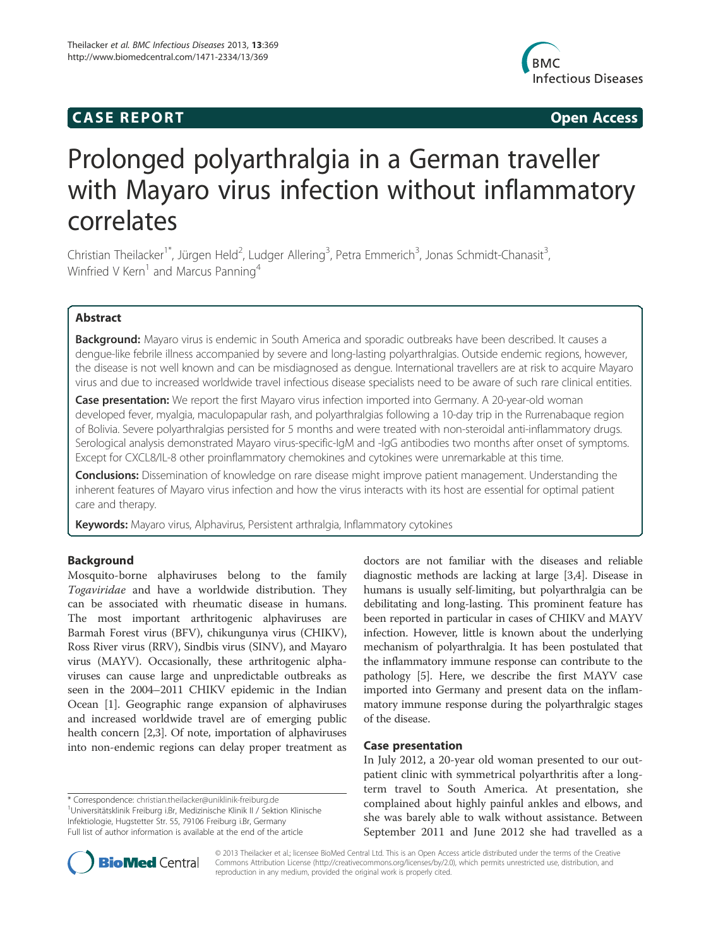# **CASE REPORT CASE REPORT**



# Prolonged polyarthralgia in a German traveller with Mayaro virus infection without inflammatory correlates

Christian Theilacker<sup>1\*</sup>, Jürgen Held<sup>2</sup>, Ludger Allering<sup>3</sup>, Petra Emmerich<sup>3</sup>, Jonas Schmidt-Chanasit<sup>3</sup> , Winfried V Kern<sup>1</sup> and Marcus Panning<sup>4</sup>

# Abstract

Background: Mayaro virus is endemic in South America and sporadic outbreaks have been described. It causes a dengue-like febrile illness accompanied by severe and long-lasting polyarthralgias. Outside endemic regions, however, the disease is not well known and can be misdiagnosed as dengue. International travellers are at risk to acquire Mayaro virus and due to increased worldwide travel infectious disease specialists need to be aware of such rare clinical entities.

Case presentation: We report the first Mayaro virus infection imported into Germany. A 20-year-old woman developed fever, myalgia, maculopapular rash, and polyarthralgias following a 10-day trip in the Rurrenabaque region of Bolivia. Severe polyarthralgias persisted for 5 months and were treated with non-steroidal anti-inflammatory drugs. Serological analysis demonstrated Mayaro virus-specific-IgM and -IgG antibodies two months after onset of symptoms. Except for CXCL8/IL-8 other proinflammatory chemokines and cytokines were unremarkable at this time.

Conclusions: Dissemination of knowledge on rare disease might improve patient management. Understanding the inherent features of Mayaro virus infection and how the virus interacts with its host are essential for optimal patient care and therapy.

Keywords: Mayaro virus, Alphavirus, Persistent arthralgia, Inflammatory cytokines

# Background

Mosquito-borne alphaviruses belong to the family Togaviridae and have a worldwide distribution. They can be associated with rheumatic disease in humans. The most important arthritogenic alphaviruses are Barmah Forest virus (BFV), chikungunya virus (CHIKV), Ross River virus (RRV), Sindbis virus (SINV), and Mayaro virus (MAYV). Occasionally, these arthritogenic alphaviruses can cause large and unpredictable outbreaks as seen in the 2004–2011 CHIKV epidemic in the Indian Ocean [1]. Geographic range expansion of alphaviruses and increased worldwide travel are of emerging public health concern [2,3]. Of note, importation of alphaviruses into non-endemic regions can delay proper treatment as

\* Correspondence: christian.theilacker@uniklinik-freiburg.de <sup>1</sup> <sup>1</sup>Universitätsklinik Freiburg i.Br, Medizinische Klinik II / Sektion Klinische Infektiologie, Hugstetter Str. 55, 79106 Freiburg i.Br, Germany Full list of author information is available at the end of the article

doctors are not familiar with the diseases and reliable diagnostic methods are lacking at large [3,4]. Disease in humans is usually self-limiting, but polyarthralgia can be debilitating and long-lasting. This prominent feature has been reported in particular in cases of CHIKV and MAYV infection. However, little is known about the underlying mechanism of polyarthralgia. It has been postulated that the inflammatory immune response can contribute to the pathology [5]. Here, we describe the first MAYV case imported into Germany and present data on the inflammatory immune response during the polyarthralgic stages of the disease.

## Case presentation

In July 2012, a 20-year old woman presented to our outpatient clinic with symmetrical polyarthritis after a longterm travel to South America. At presentation, she complained about highly painful ankles and elbows, and she was barely able to walk without assistance. Between September 2011 and June 2012 she had travelled as a



© 2013 Theilacker et al.; licensee BioMed Central Ltd. This is an Open Access article distributed under the terms of the Creative Commons Attribution License (http://creativecommons.org/licenses/by/2.0), which permits unrestricted use, distribution, and reproduction in any medium, provided the original work is properly cited.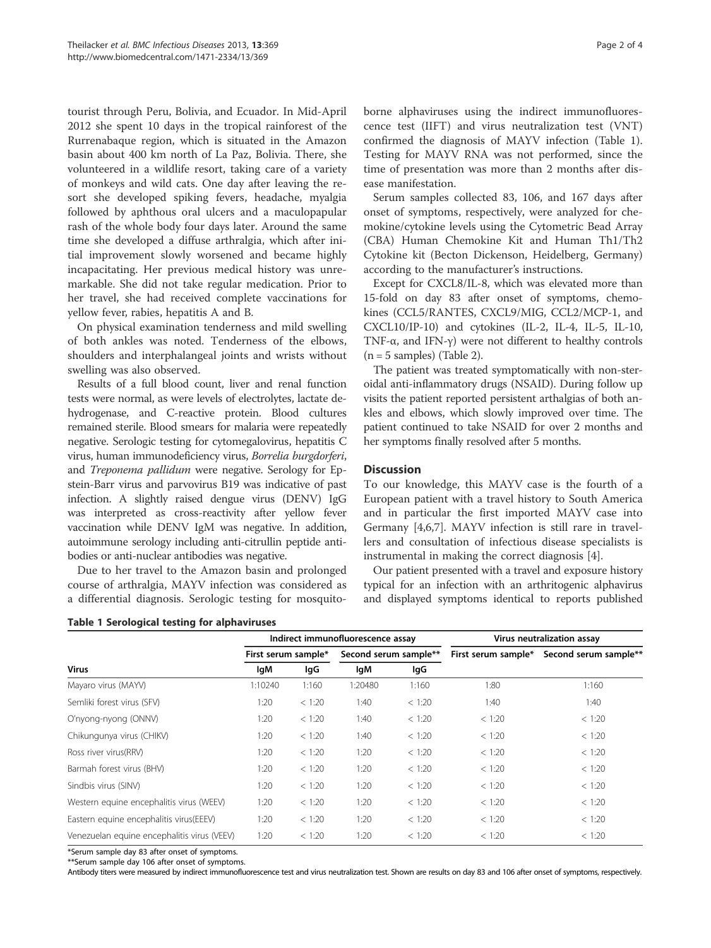tourist through Peru, Bolivia, and Ecuador. In Mid-April 2012 she spent 10 days in the tropical rainforest of the Rurrenabaque region, which is situated in the Amazon basin about 400 km north of La Paz, Bolivia. There, she volunteered in a wildlife resort, taking care of a variety of monkeys and wild cats. One day after leaving the resort she developed spiking fevers, headache, myalgia followed by aphthous oral ulcers and a maculopapular rash of the whole body four days later. Around the same time she developed a diffuse arthralgia, which after initial improvement slowly worsened and became highly incapacitating. Her previous medical history was unremarkable. She did not take regular medication. Prior to her travel, she had received complete vaccinations for yellow fever, rabies, hepatitis A and B.

On physical examination tenderness and mild swelling of both ankles was noted. Tenderness of the elbows, shoulders and interphalangeal joints and wrists without swelling was also observed.

Results of a full blood count, liver and renal function tests were normal, as were levels of electrolytes, lactate dehydrogenase, and C-reactive protein. Blood cultures remained sterile. Blood smears for malaria were repeatedly negative. Serologic testing for cytomegalovirus, hepatitis C virus, human immunodeficiency virus, Borrelia burgdorferi, and Treponema pallidum were negative. Serology for Epstein-Barr virus and parvovirus B19 was indicative of past infection. A slightly raised dengue virus (DENV) IgG was interpreted as cross-reactivity after yellow fever vaccination while DENV IgM was negative. In addition, autoimmune serology including anti-citrullin peptide antibodies or anti-nuclear antibodies was negative.

Due to her travel to the Amazon basin and prolonged course of arthralgia, MAYV infection was considered as a differential diagnosis. Serologic testing for mosquito-

Table 1 Serological testing for alphaviruses

borne alphaviruses using the indirect immunofluorescence test (IIFT) and virus neutralization test (VNT) confirmed the diagnosis of MAYV infection (Table 1). Testing for MAYV RNA was not performed, since the time of presentation was more than 2 months after disease manifestation.

Serum samples collected 83, 106, and 167 days after onset of symptoms, respectively, were analyzed for chemokine/cytokine levels using the Cytometric Bead Array (CBA) Human Chemokine Kit and Human Th1/Th2 Cytokine kit (Becton Dickenson, Heidelberg, Germany) according to the manufacturer's instructions.

Except for CXCL8/IL-8, which was elevated more than 15-fold on day 83 after onset of symptoms, chemokines (CCL5/RANTES, CXCL9/MIG, CCL2/MCP-1, and CXCL10/IP-10) and cytokines (IL-2, IL-4, IL-5, IL-10, TNF-α, and IFN-γ) were not different to healthy controls  $(n = 5$  samples) (Table 2).

The patient was treated symptomatically with non-steroidal anti-inflammatory drugs (NSAID). During follow up visits the patient reported persistent arthalgias of both ankles and elbows, which slowly improved over time. The patient continued to take NSAID for over 2 months and her symptoms finally resolved after 5 months.

# **Discussion**

To our knowledge, this MAYV case is the fourth of a European patient with a travel history to South America and in particular the first imported MAYV case into Germany [4,6,7]. MAYV infection is still rare in travellers and consultation of infectious disease specialists is instrumental in making the correct diagnosis [4].

Our patient presented with a travel and exposure history typical for an infection with an arthritogenic alphavirus and displayed symptoms identical to reports published

|                                             | Indirect immunofluorescence assay |        |                       |        | Virus neutralization assay |                                           |
|---------------------------------------------|-----------------------------------|--------|-----------------------|--------|----------------------------|-------------------------------------------|
| <b>Virus</b>                                | First serum sample*               |        | Second serum sample** |        |                            | First serum sample* Second serum sample** |
|                                             | lgM                               | lgG    | lgM                   | lgG    |                            |                                           |
| Mayaro virus (MAYV)                         | 1:10240                           | 1:160  | 1:20480               | 1:160  | 1:80                       | 1:160                                     |
| Semliki forest virus (SFV)                  | 1:20                              | < 1:20 | 1:40                  | < 1:20 | 1:40                       | 1:40                                      |
| O'nyong-nyong (ONNV)                        | 1:20                              | < 1:20 | 1:40                  | < 1:20 | < 1:20                     | < 1:20                                    |
| Chikungunya virus (CHIKV)                   | 1:20                              | < 1:20 | 1:40                  | < 1:20 | < 1:20                     | < 1:20                                    |
| Ross river virus(RRV)                       | 1:20                              | < 1:20 | 1:20                  | < 1:20 | < 1:20                     | < 1:20                                    |
| Barmah forest virus (BHV)                   | 1:20                              | < 1:20 | 1:20                  | < 1:20 | < 1:20                     | < 1:20                                    |
| Sindbis virus (SINV)                        | 1:20                              | < 1:20 | 1:20                  | < 1:20 | < 1:20                     | < 1:20                                    |
| Western equine encephalitis virus (WEEV)    | 1:20                              | < 1:20 | 1:20                  | < 1:20 | < 1:20                     | < 1:20                                    |
| Eastern equine encephalitis virus(EEEV)     | 1:20                              | < 1:20 | 1:20                  | < 1:20 | < 1:20                     | < 1:20                                    |
| Venezuelan equine encephalitis virus (VEEV) | 1:20                              | < 1:20 | 1:20                  | < 1:20 | < 1:20                     | < 1:20                                    |

\*Serum sample day 83 after onset of symptoms.

\*\*Serum sample day 106 after onset of symptoms.

Antibody titers were measured by indirect immunofluorescence test and virus neutralization test. Shown are results on day 83 and 106 after onset of symptoms, respectively.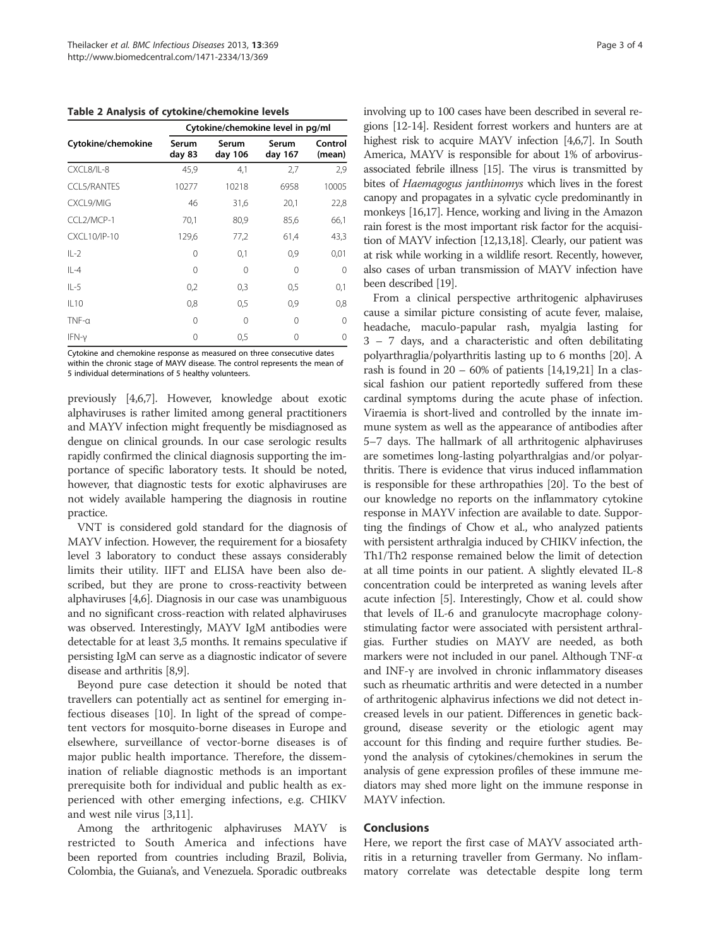Table 2 Analysis of cytokine/chemokine levels

|                    | Cytokine/chemokine level in pg/ml |                  |                  |                   |  |  |  |  |
|--------------------|-----------------------------------|------------------|------------------|-------------------|--|--|--|--|
| Cytokine/chemokine | Serum<br>day 83                   | Serum<br>day 106 | Serum<br>day 167 | Control<br>(mean) |  |  |  |  |
| CXCL8/IL-8         | 45,9                              | 4,1              | 2,7              | 2,9               |  |  |  |  |
| <b>CCL5/RANTES</b> | 10277                             | 10218            | 6958             | 10005             |  |  |  |  |
| CXCL9/MIG          | 46                                | 31,6             | 20,1             | 22,8              |  |  |  |  |
| CCL2/MCP-1         | 70,1                              | 80,9             | 85,6             | 66,1              |  |  |  |  |
| CXCL10/IP-10       | 129,6                             | 77,2             | 61,4             | 43,3              |  |  |  |  |
| $IL-2$             | 0                                 | 0,1              | 0,9              | 0,01              |  |  |  |  |
| $IL-4$             | $\Omega$                          | $\Omega$         | $\Omega$         | $\Omega$          |  |  |  |  |
| $IL-5$             | 0,2                               | 0,3              | 0,5              | 0,1               |  |  |  |  |
| IL10               | 0,8                               | 0,5              | 0,9              | 0,8               |  |  |  |  |
| $TNF-\alpha$       | 0                                 | $\Omega$         | 0                | 0                 |  |  |  |  |
| IFN-y              | 0                                 | 0,5              | 0                | 0                 |  |  |  |  |

Cytokine and chemokine response as measured on three consecutive dates within the chronic stage of MAYV disease. The control represents the mean of 5 individual determinations of 5 healthy volunteers.

previously [4,6,7]. However, knowledge about exotic alphaviruses is rather limited among general practitioners and MAYV infection might frequently be misdiagnosed as dengue on clinical grounds. In our case serologic results rapidly confirmed the clinical diagnosis supporting the importance of specific laboratory tests. It should be noted, however, that diagnostic tests for exotic alphaviruses are not widely available hampering the diagnosis in routine practice.

VNT is considered gold standard for the diagnosis of MAYV infection. However, the requirement for a biosafety level 3 laboratory to conduct these assays considerably limits their utility. IIFT and ELISA have been also described, but they are prone to cross-reactivity between alphaviruses [4,6]. Diagnosis in our case was unambiguous and no significant cross-reaction with related alphaviruses was observed. Interestingly, MAYV IgM antibodies were detectable for at least 3,5 months. It remains speculative if persisting IgM can serve as a diagnostic indicator of severe disease and arthritis [8,9].

Beyond pure case detection it should be noted that travellers can potentially act as sentinel for emerging infectious diseases [10]. In light of the spread of competent vectors for mosquito-borne diseases in Europe and elsewhere, surveillance of vector-borne diseases is of major public health importance. Therefore, the dissemination of reliable diagnostic methods is an important prerequisite both for individual and public health as experienced with other emerging infections, e.g. CHIKV and west nile virus [3,11].

Among the arthritogenic alphaviruses MAYV is restricted to South America and infections have been reported from countries including Brazil, Bolivia, Colombia, the Guiana's, and Venezuela. Sporadic outbreaks involving up to 100 cases have been described in several regions [12-14]. Resident forrest workers and hunters are at highest risk to acquire MAYV infection [4,6,7]. In South America, MAYV is responsible for about 1% of arbovirusassociated febrile illness [15]. The virus is transmitted by bites of Haemagogus janthinomys which lives in the forest canopy and propagates in a sylvatic cycle predominantly in monkeys [16,17]. Hence, working and living in the Amazon rain forest is the most important risk factor for the acquisition of MAYV infection [12,13,18]. Clearly, our patient was at risk while working in a wildlife resort. Recently, however, also cases of urban transmission of MAYV infection have been described [19].

From a clinical perspective arthritogenic alphaviruses cause a similar picture consisting of acute fever, malaise, headache, maculo-papular rash, myalgia lasting for 3 – 7 days, and a characteristic and often debilitating polyarthraglia/polyarthritis lasting up to 6 months [20]. A rash is found in  $20 - 60\%$  of patients [14,19,21] In a classical fashion our patient reportedly suffered from these cardinal symptoms during the acute phase of infection. Viraemia is short-lived and controlled by the innate immune system as well as the appearance of antibodies after 5–7 days. The hallmark of all arthritogenic alphaviruses are sometimes long-lasting polyarthralgias and/or polyarthritis. There is evidence that virus induced inflammation is responsible for these arthropathies [20]. To the best of our knowledge no reports on the inflammatory cytokine response in MAYV infection are available to date. Supporting the findings of Chow et al., who analyzed patients with persistent arthralgia induced by CHIKV infection, the Th1/Th2 response remained below the limit of detection at all time points in our patient. A slightly elevated IL-8 concentration could be interpreted as waning levels after acute infection [5]. Interestingly, Chow et al. could show that levels of IL-6 and granulocyte macrophage colonystimulating factor were associated with persistent arthralgias. Further studies on MAYV are needed, as both markers were not included in our panel. Although TNF-α and INF-γ are involved in chronic inflammatory diseases such as rheumatic arthritis and were detected in a number of arthritogenic alphavirus infections we did not detect increased levels in our patient. Differences in genetic background, disease severity or the etiologic agent may account for this finding and require further studies. Beyond the analysis of cytokines/chemokines in serum the analysis of gene expression profiles of these immune mediators may shed more light on the immune response in MAYV infection.

# **Conclusions**

Here, we report the first case of MAYV associated arthritis in a returning traveller from Germany. No inflammatory correlate was detectable despite long term